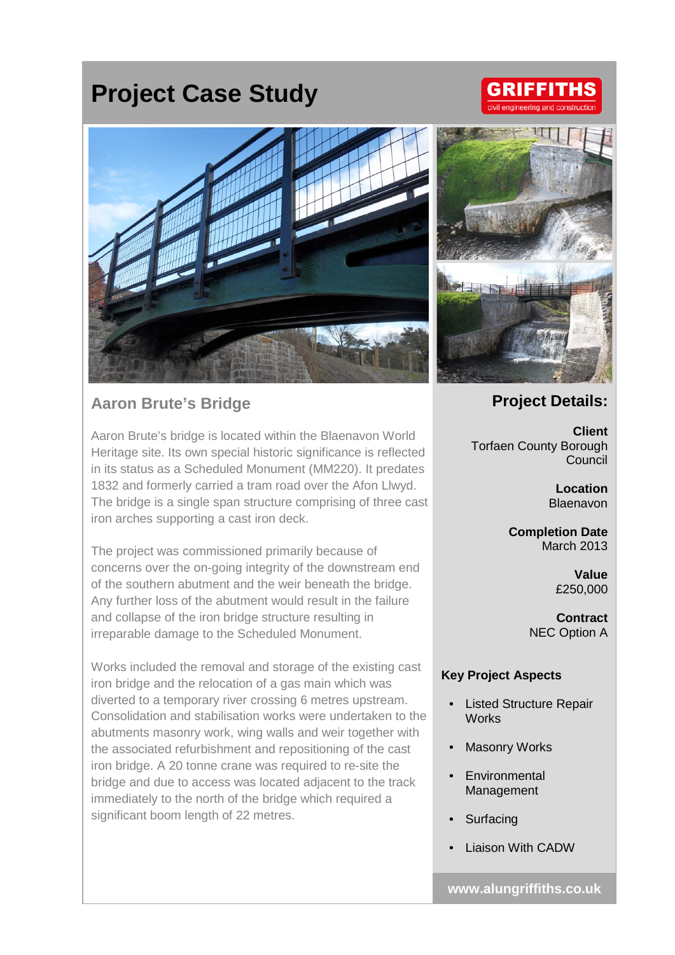# **Project Case Study**

## **GRIFFITHS** civil engineering and constru



## **Aaron Brute's Bridge**

Aaron Brute's bridge is located within the Blaenavon World Heritage site. Its own special historic significance is reflected in its status as a Scheduled Monument (MM220). It predates 1832 and formerly carried a tram road over the Afon Llwyd. The bridge is a single span structure comprising of three cast iron arches supporting a cast iron deck.

The project was commissioned primarily because of concerns over the on-going integrity of the downstream end of the southern abutment and the weir beneath the bridge. Any further loss of the abutment would result in the failure and collapse of the iron bridge structure resulting in irreparable damage to the Scheduled Monument.

Works included the removal and storage of the existing cast iron bridge and the relocation of a gas main which was diverted to a temporary river crossing 6 metres upstream. Consolidation and stabilisation works were undertaken to the abutments masonry work, wing walls and weir together with the associated refurbishment and repositioning of the cast iron bridge. A 20 tonne crane was required to re-site the bridge and due to access was located adjacent to the track immediately to the north of the bridge which required a significant boom length of 22 metres.



### **Project Details:**

**Client** Torfaen County Borough Council

> **Location** Blaenavon

**Completion Date** March 2013

> **Value** £250,000

**Contract** NEC Option A

#### **Key Project Aspects**

- Listed Structure Repair **Works**
- **Masonry Works**
- **Environmental** Management
- **Surfacing**
- Liaison With CADW